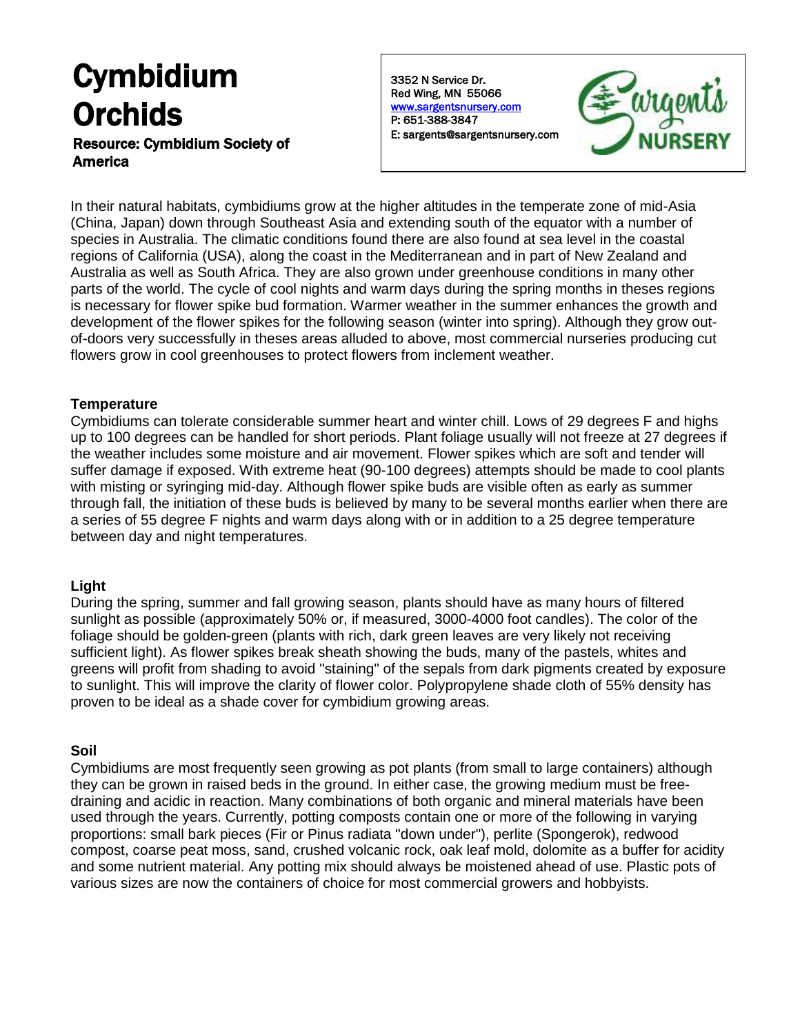# Cymbidium **Orchids**

## Resource: Cymbidium Society of America

3352 N Service Dr. Red Wing, MN 55066 [www.sargentsnursery.com](http://www.sargentsnursery.com/)  P: 651-388-3847 E: sargents@sargentsnursery.com



In their natural habitats, cymbidiums grow at the higher altitudes in the temperate zone of mid-Asia (China, Japan) down through Southeast Asia and extending south of the equator with a number of species in Australia. The climatic conditions found there are also found at sea level in the coastal regions of California (USA), along the coast in the Mediterranean and in part of New Zealand and Australia as well as South Africa. They are also grown under greenhouse conditions in many other parts of the world. The cycle of cool nights and warm days during the spring months in theses regions is necessary for flower spike bud formation. Warmer weather in the summer enhances the growth and development of the flower spikes for the following season (winter into spring). Although they grow outof-doors very successfully in theses areas alluded to above, most commercial nurseries producing cut flowers grow in cool greenhouses to protect flowers from inclement weather.

### **Temperature**

Cymbidiums can tolerate considerable summer heart and winter chill. Lows of 29 degrees F and highs up to 100 degrees can be handled for short periods. Plant foliage usually will not freeze at 27 degrees if the weather includes some moisture and air movement. Flower spikes which are soft and tender will suffer damage if exposed. With extreme heat (90-100 degrees) attempts should be made to cool plants with misting or syringing mid-day. Although flower spike buds are visible often as early as summer through fall, the initiation of these buds is believed by many to be several months earlier when there are a series of 55 degree F nights and warm days along with or in addition to a 25 degree temperature between day and night temperatures.

# **Light**

During the spring, summer and fall growing season, plants should have as many hours of filtered sunlight as possible (approximately 50% or, if measured, 3000-4000 foot candles). The color of the foliage should be golden-green (plants with rich, dark green leaves are very likely not receiving sufficient light). As flower spikes break sheath showing the buds, many of the pastels, whites and greens will profit from shading to avoid "staining" of the sepals from dark pigments created by exposure to sunlight. This will improve the clarity of flower color. Polypropylene shade cloth of 55% density has proven to be ideal as a shade cover for cymbidium growing areas.

# **Soil**

Cymbidiums are most frequently seen growing as pot plants (from small to large containers) although they can be grown in raised beds in the ground. In either case, the growing medium must be freedraining and acidic in reaction. Many combinations of both organic and mineral materials have been used through the years. Currently, potting composts contain one or more of the following in varying proportions: small bark pieces (Fir or Pinus radiata "down under"), perlite (Spongerok), redwood compost, coarse peat moss, sand, crushed volcanic rock, oak leaf mold, dolomite as a buffer for acidity and some nutrient material. Any potting mix should always be moistened ahead of use. Plastic pots of various sizes are now the containers of choice for most commercial growers and hobbyists.